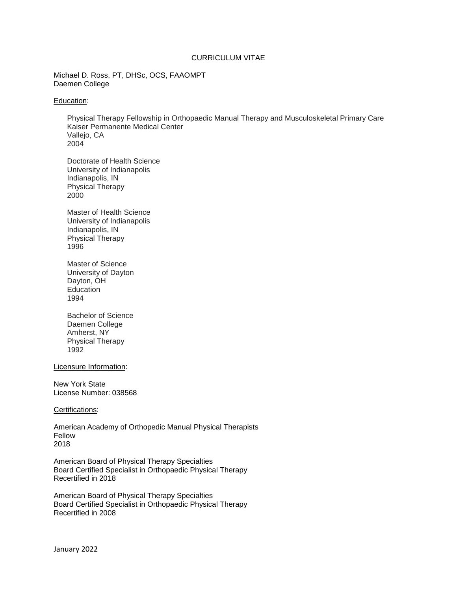### CURRICULUM VITAE

Michael D. Ross, PT, DHSc, OCS, FAAOMPT Daemen College

#### Education:

Physical Therapy Fellowship in Orthopaedic Manual Therapy and Musculoskeletal Primary Care Kaiser Permanente Medical Center Vallejo, CA 2004

Doctorate of Health Science University of Indianapolis Indianapolis, IN Physical Therapy 2000

Master of Health Science University of Indianapolis Indianapolis, IN Physical Therapy 1996

Master of Science University of Dayton Dayton, OH **Education** 1994

Bachelor of Science Daemen College Amherst, NY Physical Therapy 1992

Licensure Information:

New York State License Number: 038568

#### Certifications:

American Academy of Orthopedic Manual Physical Therapists Fellow 2018

American Board of Physical Therapy Specialties Board Certified Specialist in Orthopaedic Physical Therapy Recertified in 2018

American Board of Physical Therapy Specialties Board Certified Specialist in Orthopaedic Physical Therapy Recertified in 2008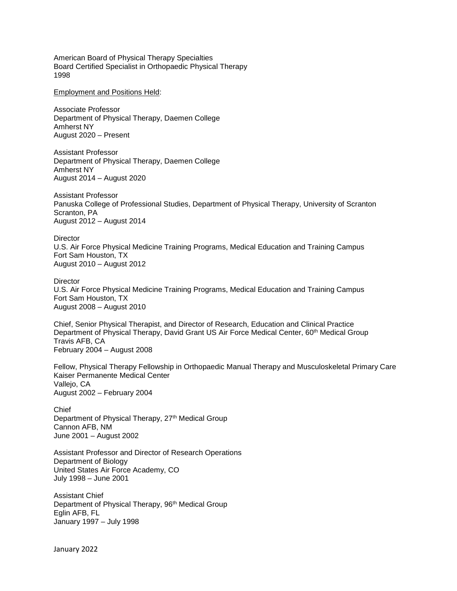American Board of Physical Therapy Specialties Board Certified Specialist in Orthopaedic Physical Therapy 1998

Employment and Positions Held:

Associate Professor Department of Physical Therapy, Daemen College Amherst NY August 2020 – Present

Assistant Professor Department of Physical Therapy, Daemen College Amherst NY August 2014 – August 2020

Assistant Professor Panuska College of Professional Studies, Department of Physical Therapy, University of Scranton Scranton, PA August 2012 – August 2014

**Director** U.S. Air Force Physical Medicine Training Programs, Medical Education and Training Campus Fort Sam Houston, TX August 2010 – August 2012

**Director** U.S. Air Force Physical Medicine Training Programs, Medical Education and Training Campus Fort Sam Houston, TX August 2008 – August 2010

Chief, Senior Physical Therapist, and Director of Research, Education and Clinical Practice Department of Physical Therapy, David Grant US Air Force Medical Center, 60<sup>th</sup> Medical Group Travis AFB, CA February 2004 – August 2008

Fellow, Physical Therapy Fellowship in Orthopaedic Manual Therapy and Musculoskeletal Primary Care Kaiser Permanente Medical Center Vallejo, CA August 2002 – February 2004

Chief Department of Physical Therapy, 27<sup>th</sup> Medical Group Cannon AFB, NM June 2001 – August 2002

Assistant Professor and Director of Research Operations Department of Biology United States Air Force Academy, CO July 1998 – June 2001

Assistant Chief Department of Physical Therapy, 96<sup>th</sup> Medical Group Eglin AFB, FL January 1997 – July 1998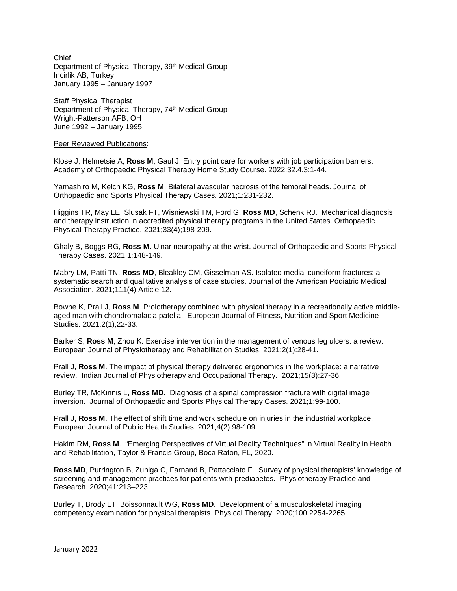Chief Department of Physical Therapy, 39<sup>th</sup> Medical Group Incirlik AB, Turkey January 1995 – January 1997

Staff Physical Therapist Department of Physical Therapy, 74th Medical Group Wright-Patterson AFB, OH June 1992 – January 1995

Peer Reviewed Publications:

Klose J, Helmetsie A, **Ross M**, Gaul J. Entry point care for workers with job participation barriers. Academy of Orthopaedic Physical Therapy Home Study Course. 2022;32.4.3:1-44.

Yamashiro M, Kelch KG, **Ross M**. Bilateral avascular necrosis of the femoral heads. Journal of Orthopaedic and Sports Physical Therapy Cases. 2021;1:231-232.

Higgins TR, May LE, Slusak FT, Wisniewski TM, Ford G, **Ross MD**, Schenk RJ. Mechanical diagnosis and therapy instruction in accredited physical therapy programs in the United States. Orthopaedic Physical Therapy Practice. 2021;33(4);198-209.

Ghaly B, Boggs RG, **Ross M**. Ulnar neuropathy at the wrist. Journal of Orthopaedic and Sports Physical Therapy Cases. 2021;1:148-149.

Mabry LM, Patti TN, **Ross MD**, Bleakley CM, Gisselman AS. Isolated medial cuneiform fractures: a systematic search and qualitative analysis of case studies. Journal of the American Podiatric Medical Association. 2021;111(4):Article 12.

Bowne K, Prall J, **Ross M**. Prolotherapy combined with physical therapy in a recreationally active middleaged man with chondromalacia patella. European Journal of Fitness, Nutrition and Sport Medicine Studies. 2021;2(1);22-33.

Barker S, **Ross M**, Zhou K. Exercise intervention in the management of venous leg ulcers: a review. European Journal of Physiotherapy and Rehabilitation Studies. 2021;2(1):28-41.

Prall J, **Ross M**. The impact of physical therapy delivered ergonomics in the workplace: a narrative review. Indian Journal of Physiotherapy and Occupational Therapy. 2021;15(3):27-36.

Burley TR, McKinnis L, **Ross MD**. Diagnosis of a spinal compression fracture with digital image inversion. Journal of Orthopaedic and Sports Physical Therapy Cases. 2021;1:99-100.

Prall J, **Ross M**. The effect of shift time and work schedule on injuries in the industrial workplace. European Journal of Public Health Studies. 2021;4(2):98-109.

Hakim RM, **Ross M**. "Emerging Perspectives of Virtual Reality Techniques" in Virtual Reality in Health and Rehabilitation, Taylor & Francis Group, Boca Raton, FL, 2020.

**Ross MD**, Purrington B, Zuniga C, Farnand B, Pattacciato F. Survey of physical therapists' knowledge of screening and management practices for patients with prediabetes. Physiotherapy Practice and Research. 2020;41:213–223.

Burley T, Brody LT, Boissonnault WG, **Ross MD**. Development of a musculoskeletal imaging competency examination for physical therapists. Physical Therapy. 2020;100:2254-2265.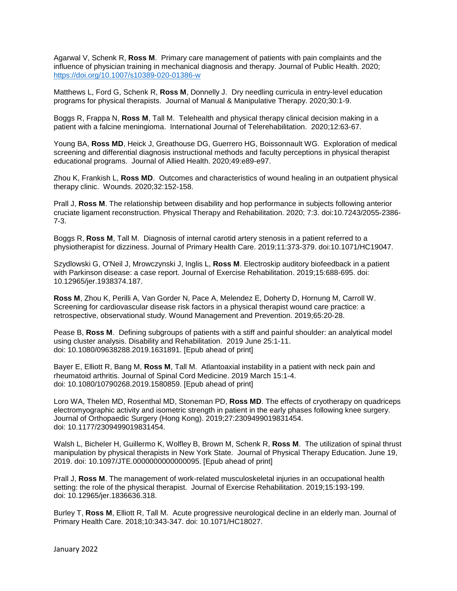Agarwal V, Schenk R, **Ross M**. Primary care management of patients with pain complaints and the influence of physician training in mechanical diagnosis and therapy. Journal of Public Health. 2020; <https://doi.org/10.1007/s10389-020-01386-w>

Matthews L, Ford G, Schenk R, **Ross M**, Donnelly J. Dry needling curricula in entry-level education programs for physical therapists. Journal of Manual & Manipulative Therapy. 2020;30:1-9.

Boggs R, Frappa N, **Ross M**, Tall M. Telehealth and physical therapy clinical decision making in a patient with a falcine meningioma. International Journal of Telerehabilitation. 2020;12:63-67.

Young BA, **Ross MD**, Heick J, Greathouse DG, Guerrero HG, Boissonnault WG. Exploration of medical screening and differential diagnosis instructional methods and faculty perceptions in physical therapist educational programs. Journal of Allied Health. 2020;49:e89-e97.

Zhou K, Frankish L, **Ross MD**. Outcomes and characteristics of wound healing in an outpatient physical therapy clinic. Wounds. 2020;32:152-158.

Prall J, **Ross M**. The relationship between disability and hop performance in subjects following anterior cruciate ligament reconstruction. Physical Therapy and Rehabilitation. 2020; 7:3. doi:10.7243/2055-2386- 7-3.

Boggs R, **Ross M**, Tall M. Diagnosis of internal carotid artery stenosis in a patient referred to a physiotherapist for dizziness. Journal of Primary Health Care. 2019;11:373-379. doi:10.1071/HC19047.

Szydlowski G, O'Neil J, Mrowczynski J, Inglis L, **Ross M**. Electroskip auditory biofeedback in a patient with Parkinson disease: a case report. Journal of Exercise Rehabilitation. 2019;15:688-695. doi: 10.12965/jer.1938374.187.

**Ross M**, Zhou K, Perilli A, Van Gorder N, Pace A, Melendez E, Doherty D, Hornung M, Carroll W. Screening for cardiovascular disease risk factors in a physical therapist wound care practice: a retrospective, observational study. Wound Management and Prevention. 2019;65:20-28.

Pease B, **Ross M**. Defining subgroups of patients with a stiff and painful shoulder: an analytical model using cluster analysis. Disability and Rehabilitation. 2019 June 25:1-11. doi: 10.1080/09638288.2019.1631891. [Epub ahead of print]

Bayer E, Elliott R, Bang M, **Ross M**, Tall M. Atlantoaxial instability in a patient with neck pain and rheumatoid arthritis. Journal of Spinal Cord Medicine. 2019 March 15:1-4. doi: 10.1080/10790268.2019.1580859. [Epub ahead of print]

Loro WA, Thelen MD, Rosenthal MD, Stoneman PD, **Ross MD**. The effects of cryotherapy on quadriceps electromyographic activity and isometric strength in patient in the early phases following knee surgery. Journal of Orthopaedic Surgery (Hong Kong). 2019;27:2309499019831454. doi: 10.1177/2309499019831454.

Walsh L, Bicheler H, Guillermo K, Wolfley B, Brown M, Schenk R, **Ross M**. The utilization of spinal thrust manipulation by physical therapists in New York State. Journal of Physical Therapy Education. June 19, 2019. doi: 10.1097/JTE.0000000000000095. [Epub ahead of print]

Prall J, **Ross M**. The management of work-related musculoskeletal injuries in an occupational health setting: the role of the physical therapist. Journal of Exercise Rehabilitation. 2019;15:193-199. doi: 10.12965/jer.1836636.318.

Burley T, **Ross M**, Elliott R, Tall M. Acute progressive neurological decline in an elderly man. Journal of Primary Health Care. 2018;10:343-347. doi: 10.1071/HC18027.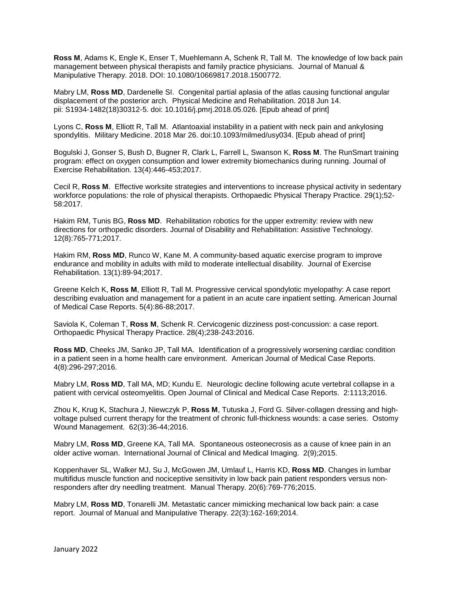**Ross M**, Adams K, Engle K, Enser T, Muehlemann A, Schenk R, Tall M. The knowledge of low back pain management between physical therapists and family practice physicians. Journal of Manual & Manipulative Therapy. 2018. DOI: 10.1080/10669817.2018.1500772.

Mabry LM, **Ross MD**, Dardenelle SI. Congenital partial aplasia of the atlas causing functional angular displacement of the posterior arch. Physical Medicine and Rehabilitation. 2018 Jun 14. pii: S1934-1482(18)30312-5. doi: 10.1016/j.pmrj.2018.05.026. [Epub ahead of print]

Lyons C, **Ross M**, Elliott R, Tall M. Atlantoaxial instability in a patient with neck pain and ankylosing spondylitis. Military Medicine. 2018 Mar 26. doi:10.1093/milmed/usy034. [Epub ahead of print]

Bogulski J, Gonser S, Bush D, Bugner R, Clark L, Farrell L, Swanson K, **Ross M**. The RunSmart training program: effect on oxygen consumption and lower extremity biomechanics during running. Journal of Exercise Rehabilitation. 13(4):446-453;2017.

Cecil R, **Ross M**. Effective worksite strategies and interventions to increase physical activity in sedentary workforce populations: the role of physical therapists. Orthopaedic Physical Therapy Practice. 29(1);52- 58:2017.

Hakim RM, Tunis BG, **Ross MD**. Rehabilitation robotics for the upper extremity: review with new directions for orthopedic disorders. Journal of Disability and Rehabilitation: Assistive Technology. 12(8):765-771;2017.

Hakim RM, **Ross MD**, Runco W, Kane M. A community-based aquatic exercise program to improve endurance and mobility in adults with mild to moderate intellectual disability. Journal of Exercise Rehabilitation. 13(1):89-94;2017.

Greene Kelch K, **Ross M**, Elliott R, Tall M. Progressive cervical spondylotic myelopathy: A case report describing evaluation and management for a patient in an acute care inpatient setting. American Journal of Medical Case Reports. 5(4):86-88;2017.

Saviola K, Coleman T, **Ross M**, Schenk R. Cervicogenic dizziness post-concussion: a case report. Orthopaedic Physical Therapy Practice. 28(4);238-243:2016.

**Ross MD**, Cheeks JM, Sanko JP, Tall MA. Identification of a progressively worsening cardiac condition in a patient seen in a home health care environment. American Journal of Medical Case Reports. 4(8):296-297;2016.

Mabry LM, **Ross MD**, Tall MA, MD; Kundu E. Neurologic decline following acute vertebral collapse in a patient with cervical osteomyelitis. Open Journal of Clinical and Medical Case Reports. 2:1113;2016.

Zhou K, Krug K, Stachura J, Niewczyk P, **Ross M**, Tutuska J, Ford G. Silver-collagen dressing and highvoltage pulsed current therapy for the treatment of chronic full-thickness wounds: a case series. Ostomy Wound Management. 62(3):36-44;2016.

Mabry LM, **Ross MD**, Greene KA, Tall MA. Spontaneous osteonecrosis as a cause of knee pain in an older active woman. International Journal of Clinical and Medical Imaging. 2(9);2015.

Koppenhaver SL, Walker MJ, Su J, McGowen JM, Umlauf L, Harris KD, **Ross MD**. Changes in lumbar multifidus muscle function and nociceptive sensitivity in low back pain patient responders versus nonresponders after dry needling treatment. Manual Therapy. 20(6):769-776;2015.

Mabry LM, **Ross MD**, Tonarelli JM. Metastatic cancer mimicking mechanical low back pain: a case report. Journal of Manual and Manipulative Therapy. 22(3):162-169;2014.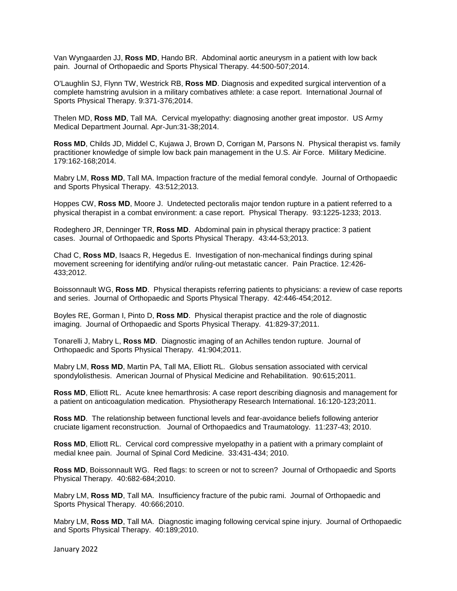Van Wyngaarden JJ, **Ross MD**, Hando BR. Abdominal aortic aneurysm in a patient with low back pain. Journal of Orthopaedic and Sports Physical Therapy. 44:500-507;2014.

O'Laughlin SJ, Flynn TW, Westrick RB, **Ross MD**. Diagnosis and expedited surgical intervention of a complete hamstring avulsion in a military combatives athlete: a case report. International Journal of Sports Physical Therapy. 9:371-376;2014.

Thelen MD, **Ross MD**, Tall MA. Cervical myelopathy: diagnosing another great impostor. US Army Medical Department Journal. Apr-Jun:31-38;2014.

**Ross MD**, Childs JD, Middel C, Kujawa J, Brown D, Corrigan M, Parsons N. Physical therapist vs. family practitioner knowledge of simple low back pain management in the U.S. Air Force. Military Medicine. 179:162-168;2014.

Mabry LM, **Ross MD**, Tall MA. Impaction fracture of the medial femoral condyle. Journal of Orthopaedic and Sports Physical Therapy. 43:512;2013.

Hoppes CW, **Ross MD**, Moore J. Undetected pectoralis major tendon rupture in a patient referred to a physical therapist in a combat environment: a case report. Physical Therapy. 93:1225-1233; 2013.

Rodeghero JR, Denninger TR, **Ross MD**. Abdominal pain in physical therapy practice: 3 patient cases. Journal of Orthopaedic and Sports Physical Therapy. 43:44-53;2013.

Chad C, **Ross MD**, Isaacs R, Hegedus E. Investigation of non-mechanical findings during spinal movement screening for identifying and/or ruling-out metastatic cancer. Pain Practice. 12:426- 433;2012.

Boissonnault WG, **Ross MD**. Physical therapists referring patients to physicians: a review of case reports and series. Journal of Orthopaedic and Sports Physical Therapy. 42:446-454;2012.

Boyles RE, Gorman I, Pinto D, **Ross MD**. Physical therapist practice and the role of diagnostic imaging. Journal of Orthopaedic and Sports Physical Therapy. 41:829-37;2011.

Tonarelli J, Mabry L, **Ross MD**. Diagnostic imaging of an Achilles tendon rupture. Journal of Orthopaedic and Sports Physical Therapy. 41:904;2011.

Mabry LM, **Ross MD**, Martin PA, Tall MA, Elliott RL. Globus sensation associated with cervical spondylolisthesis. American Journal of Physical Medicine and Rehabilitation. 90:615;2011.

**Ross MD**, Elliott RL. Acute knee hemarthrosis: A case report describing diagnosis and management for a patient on anticoagulation medication. Physiotherapy Research International. 16:120-123;2011.

**Ross MD**. The relationship between functional levels and fear-avoidance beliefs following anterior cruciate ligament reconstruction. Journal of Orthopaedics and Traumatology. 11:237-43; 2010.

**Ross MD**, Elliott RL. Cervical cord compressive myelopathy in a patient with a primary complaint of medial knee pain. Journal of Spinal Cord Medicine. 33:431-434; 2010.

**Ross MD**, Boissonnault WG. Red flags: to screen or not to screen? Journal of Orthopaedic and Sports Physical Therapy. 40:682-684;2010.

Mabry LM, **Ross MD**, Tall MA. Insufficiency fracture of the pubic rami. Journal of Orthopaedic and Sports Physical Therapy. 40:666;2010.

Mabry LM, **Ross MD**, Tall MA. Diagnostic imaging following cervical spine injury. Journal of Orthopaedic and Sports Physical Therapy. 40:189;2010.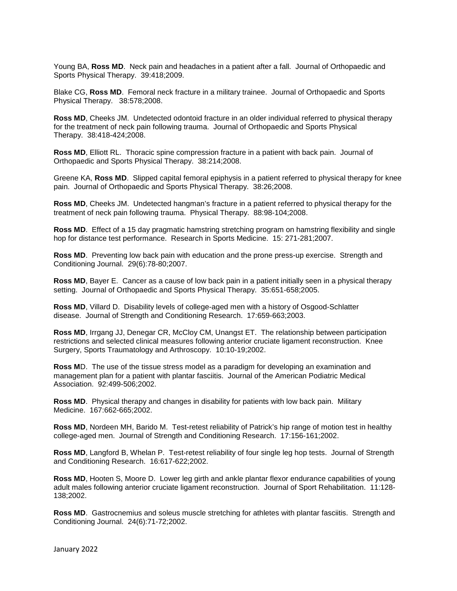Young BA, **Ross MD**. Neck pain and headaches in a patient after a fall. Journal of Orthopaedic and Sports Physical Therapy. 39:418;2009.

Blake CG, **Ross MD**. Femoral neck fracture in a military trainee. Journal of Orthopaedic and Sports Physical Therapy. 38:578;2008.

**Ross MD**, Cheeks JM. Undetected odontoid fracture in an older individual referred to physical therapy for the treatment of neck pain following trauma. Journal of Orthopaedic and Sports Physical Therapy. 38:418-424;2008.

**Ross MD**, Elliott RL. Thoracic spine compression fracture in a patient with back pain. Journal of Orthopaedic and Sports Physical Therapy. 38:214;2008.

Greene KA, **Ross MD**. Slipped capital femoral epiphysis in a patient referred to physical therapy for knee pain. Journal of Orthopaedic and Sports Physical Therapy. 38:26;2008.

**Ross MD**, Cheeks JM. Undetected hangman's fracture in a patient referred to physical therapy for the treatment of neck pain following trauma. Physical Therapy. 88:98-104;2008.

**Ross MD**. Effect of a 15 day pragmatic hamstring stretching program on hamstring flexibility and single hop for distance test performance. Research in Sports Medicine. 15: 271-281;2007.

**Ross MD**. Preventing low back pain with education and the prone press-up exercise. Strength and Conditioning Journal. 29(6):78-80;2007.

**Ross MD**, Bayer E. Cancer as a cause of low back pain in a patient initially seen in a physical therapy setting. Journal of Orthopaedic and Sports Physical Therapy. 35:651-658;2005.

**Ross MD**, Villard D. Disability levels of college-aged men with a history of Osgood-Schlatter disease. Journal of Strength and Conditioning Research. 17:659-663;2003.

**Ross MD**, Irrgang JJ, Denegar CR, McCloy CM, Unangst ET. The relationship between participation restrictions and selected clinical measures following anterior cruciate ligament reconstruction. Knee Surgery, Sports Traumatology and Arthroscopy. 10:10-19;2002.

**Ross M**D. The use of the tissue stress model as a paradigm for developing an examination and management plan for a patient with plantar fasciitis. Journal of the American Podiatric Medical Association. 92:499-506;2002.

**Ross MD**. Physical therapy and changes in disability for patients with low back pain. Military Medicine. 167:662-665;2002.

**Ross MD**, Nordeen MH, Barido M. Test-retest reliability of Patrick's hip range of motion test in healthy college-aged men. Journal of Strength and Conditioning Research. 17:156-161;2002.

**Ross MD**, Langford B, Whelan P. Test-retest reliability of four single leg hop tests. Journal of Strength and Conditioning Research. 16:617-622;2002.

**Ross MD**, Hooten S, Moore D. Lower leg girth and ankle plantar flexor endurance capabilities of young adult males following anterior cruciate ligament reconstruction. Journal of Sport Rehabilitation. 11:128- 138;2002.

**Ross MD**. Gastrocnemius and soleus muscle stretching for athletes with plantar fasciitis. Strength and Conditioning Journal. 24(6):71-72;2002.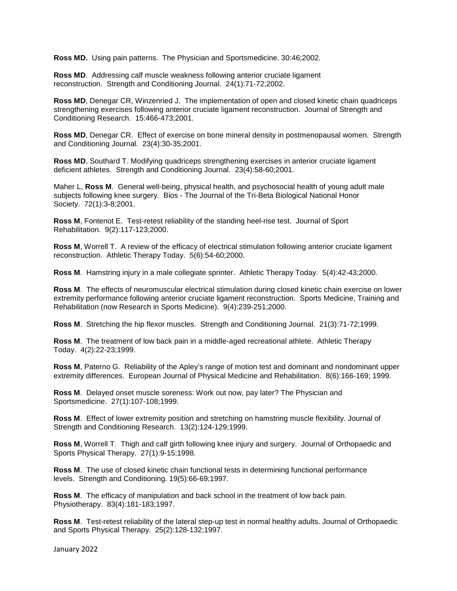**Ross MD.** Using pain patterns. The Physician and Sportsmedicine. 30:46;2002.

**Ross MD**. Addressing calf muscle weakness following anterior cruciate ligament reconstruction. Strength and Conditioning Journal. 24(1):71-72;2002.

**Ross MD**, Denegar CR, Winzenried J. The implementation of open and closed kinetic chain quadriceps strengthening exercises following anterior cruciate ligament reconstruction. Journal of Strength and Conditioning Research. 15:466-473;2001.

**Ross MD**, Denegar CR. Effect of exercise on bone mineral density in postmenopausal women. Strength and Conditioning Journal. 23(4):30-35;2001.

**Ross MD**, Southard T. Modifying quadriceps strengthening exercises in anterior cruciate ligament deficient athletes. Strength and Conditioning Journal. 23(4):58-60;2001.

Maher L, **Ross M**. General well-being, physical health, and psychosocial health of young adult male subjects following knee surgery. Bios - The Journal of the Tri-Beta Biological National Honor Society. 72(1):3-8;2001.

**Ross M**, Fontenot E. Test-retest reliability of the standing heel-rise test. Journal of Sport Rehabilitation. 9(2):117-123;2000.

**Ross M**, Worrell T. A review of the efficacy of electrical stimulation following anterior cruciate ligament reconstruction. Athletic Therapy Today. 5(6):54-60;2000.

**Ross M**. Hamstring injury in a male collegiate sprinter. Athletic Therapy Today. 5(4):42-43;2000.

**Ross M**. The effects of neuromuscular electrical stimulation during closed kinetic chain exercise on lower extremity performance following anterior cruciate ligament reconstruction. Sports Medicine, Training and Rehabilitation (now Research in Sports Medicine). 9(4):239-251;2000.

**Ross M**. Stretching the hip flexor muscles. Strength and Conditioning Journal. 21(3):71-72;1999.

**Ross M**. The treatment of low back pain in a middle-aged recreational athlete. Athletic Therapy Today. 4(2):22-23;1999.

**Ross M**, Paterno G. Reliability of the Apley's range of motion test and dominant and nondominant upper extremity differences. European Journal of Physical Medicine and Rehabilitation. 8(6):166-169; 1999.

**Ross M**. Delayed onset muscle soreness: Work out now, pay later? The Physician and Sportsmedicine. 27(1):107-108;1999.

**Ross M**. Effect of lower extremity position and stretching on hamstring muscle flexibility. Journal of Strength and Conditioning Research. 13(2):124-129;1999.

**Ross M**, Worrell T. Thigh and calf girth following knee injury and surgery. Journal of Orthopaedic and Sports Physical Therapy. 27(1):9-15;1998.

**Ross M**. The use of closed kinetic chain functional tests in determining functional performance levels. Strength and Conditioning. 19(5):66-69;1997.

**Ross M**. The efficacy of manipulation and back school in the treatment of low back pain. Physiotherapy. 83(4):181-183;1997.

**Ross M**. Test-retest reliability of the lateral step-up test in normal healthy adults. Journal of Orthopaedic and Sports Physical Therapy. 25(2):128-132;1997.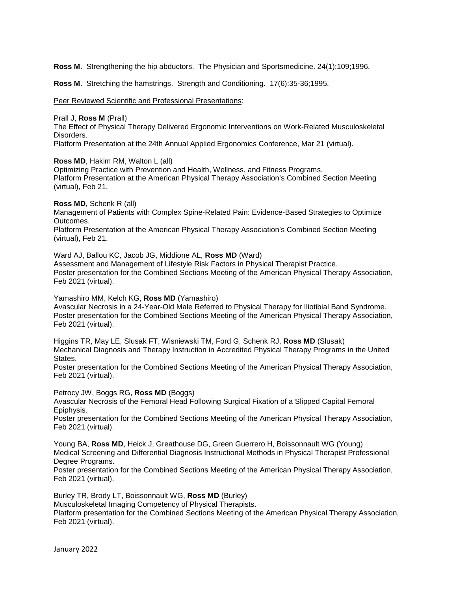**Ross M**. Strengthening the hip abductors. The Physician and Sportsmedicine. 24(1):109;1996.

**Ross M**. Stretching the hamstrings. Strength and Conditioning. 17(6):35-36;1995.

Peer Reviewed Scientific and Professional Presentations:

Prall J, **Ross M** (Prall)

The Effect of Physical Therapy Delivered Ergonomic Interventions on Work-Related Musculoskeletal Disorders.

Platform Presentation at the 24th Annual Applied Ergonomics Conference, Mar 21 (virtual).

**Ross MD**, Hakim RM, Walton L (all)

Optimizing Practice with Prevention and Health, Wellness, and Fitness Programs. Platform Presentation at the American Physical Therapy Association's Combined Section Meeting (virtual), Feb 21.

**Ross MD**, Schenk R (all)

Management of Patients with Complex Spine-Related Pain: Evidence-Based Strategies to Optimize Outcomes.

Platform Presentation at the American Physical Therapy Association's Combined Section Meeting (virtual), Feb 21.

Ward AJ, Ballou KC, Jacob JG, Middione AL, **Ross MD** (Ward) Assessment and Management of Lifestyle Risk Factors in Physical Therapist Practice. Poster presentation for the Combined Sections Meeting of the American Physical Therapy Association, Feb 2021 (virtual).

Yamashiro MM, Kelch KG, **Ross MD** (Yamashiro)

Avascular Necrosis in a 24-Year-Old Male Referred to Physical Therapy for Iliotibial Band Syndrome. Poster presentation for the Combined Sections Meeting of the American Physical Therapy Association, Feb 2021 (virtual).

Higgins TR, May LE, Slusak FT, Wisniewski TM, Ford G, Schenk RJ, **Ross MD** (Slusak) Mechanical Diagnosis and Therapy Instruction in Accredited Physical Therapy Programs in the United States.

Poster presentation for the Combined Sections Meeting of the American Physical Therapy Association, Feb 2021 (virtual).

Petrocy JW, Boggs RG, **Ross MD** (Boggs)

Avascular Necrosis of the Femoral Head Following Surgical Fixation of a Slipped Capital Femoral Epiphysis.

Poster presentation for the Combined Sections Meeting of the American Physical Therapy Association, Feb 2021 (virtual).

Young BA, **Ross MD**, Heick J, Greathouse DG, Green Guerrero H, Boissonnault WG (Young) Medical Screening and Differential Diagnosis Instructional Methods in Physical Therapist Professional Degree Programs.

Poster presentation for the Combined Sections Meeting of the American Physical Therapy Association, Feb 2021 (virtual).

Burley TR, Brody LT, Boissonnault WG, **Ross MD** (Burley)

Musculoskeletal Imaging Competency of Physical Therapists.

Platform presentation for the Combined Sections Meeting of the American Physical Therapy Association, Feb 2021 (virtual).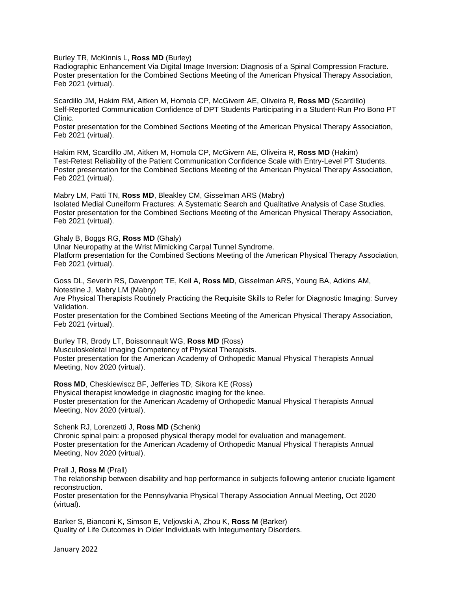Burley TR, McKinnis L, **Ross MD** (Burley)

Radiographic Enhancement Via Digital Image Inversion: Diagnosis of a Spinal Compression Fracture. Poster presentation for the Combined Sections Meeting of the American Physical Therapy Association, Feb 2021 (virtual).

Scardillo JM, Hakim RM, Aitken M, Homola CP, McGivern AE, Oliveira R, **Ross MD** (Scardillo) Self-Reported Communication Confidence of DPT Students Participating in a Student-Run Pro Bono PT Clinic.

Poster presentation for the Combined Sections Meeting of the American Physical Therapy Association, Feb 2021 (virtual).

Hakim RM, Scardillo JM, Aitken M, Homola CP, McGivern AE, Oliveira R, **Ross MD** (Hakim) Test-Retest Reliability of the Patient Communication Confidence Scale with Entry-Level PT Students. Poster presentation for the Combined Sections Meeting of the American Physical Therapy Association, Feb 2021 (virtual).

Mabry LM, Patti TN, **Ross MD**, Bleakley CM, Gisselman ARS (Mabry) Isolated Medial Cuneiform Fractures: A Systematic Search and Qualitative Analysis of Case Studies. Poster presentation for the Combined Sections Meeting of the American Physical Therapy Association, Feb 2021 (virtual).

Ghaly B, Boggs RG, **Ross MD** (Ghaly)

Ulnar Neuropathy at the Wrist Mimicking Carpal Tunnel Syndrome.

Platform presentation for the Combined Sections Meeting of the American Physical Therapy Association, Feb 2021 (virtual).

Goss DL, Severin RS, Davenport TE, Keil A, **Ross MD**, Gisselman ARS, Young BA, Adkins AM, Notestine J, Mabry LM (Mabry)

Are Physical Therapists Routinely Practicing the Requisite Skills to Refer for Diagnostic Imaging: Survey Validation.

Poster presentation for the Combined Sections Meeting of the American Physical Therapy Association, Feb 2021 (virtual).

Burley TR, Brody LT, Boissonnault WG, **Ross MD** (Ross) Musculoskeletal Imaging Competency of Physical Therapists. Poster presentation for the American Academy of Orthopedic Manual Physical Therapists Annual Meeting, Nov 2020 (virtual).

**Ross MD**, Cheskiewiscz BF, Jefferies TD, Sikora KE (Ross) Physical therapist knowledge in diagnostic imaging for the knee. Poster presentation for the American Academy of Orthopedic Manual Physical Therapists Annual Meeting, Nov 2020 (virtual).

Schenk RJ, Lorenzetti J, **Ross MD** (Schenk)

Chronic spinal pain: a proposed physical therapy model for evaluation and management. Poster presentation for the American Academy of Orthopedic Manual Physical Therapists Annual Meeting, Nov 2020 (virtual).

Prall J, **Ross M** (Prall)

The relationship between disability and hop performance in subjects following anterior cruciate ligament reconstruction.

Poster presentation for the Pennsylvania Physical Therapy Association Annual Meeting, Oct 2020 (virtual).

Barker S, Bianconi K, Simson E, Veljovski A, Zhou K, **Ross M** (Barker) Quality of Life Outcomes in Older Individuals with Integumentary Disorders.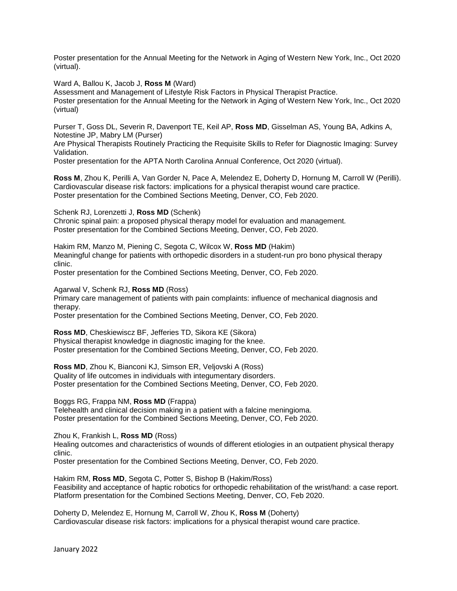Poster presentation for the Annual Meeting for the Network in Aging of Western New York, Inc., Oct 2020 (virtual).

Ward A, Ballou K, Jacob J, **Ross M** (Ward)

Assessment and Management of Lifestyle Risk Factors in Physical Therapist Practice. Poster presentation for the Annual Meeting for the Network in Aging of Western New York, Inc., Oct 2020 (virtual)

Purser T, Goss DL, Severin R, Davenport TE, Keil AP, **Ross MD**, Gisselman AS, Young BA, Adkins A, Notestine JP, Mabry LM (Purser)

Are Physical Therapists Routinely Practicing the Requisite Skills to Refer for Diagnostic Imaging: Survey Validation.

Poster presentation for the APTA North Carolina Annual Conference, Oct 2020 (virtual).

**Ross M**, Zhou K, Perilli A, Van Gorder N, Pace A, Melendez E, Doherty D, Hornung M, Carroll W (Perilli). Cardiovascular disease risk factors: implications for a physical therapist wound care practice. Poster presentation for the Combined Sections Meeting, Denver, CO, Feb 2020.

Schenk RJ, Lorenzetti J, **Ross MD** (Schenk)

Chronic spinal pain: a proposed physical therapy model for evaluation and management. Poster presentation for the Combined Sections Meeting, Denver, CO, Feb 2020.

Hakim RM, Manzo M, Piening C, Segota C, Wilcox W, **Ross MD** (Hakim) Meaningful change for patients with orthopedic disorders in a student-run pro bono physical therapy clinic.

Poster presentation for the Combined Sections Meeting, Denver, CO, Feb 2020.

Agarwal V, Schenk RJ, **Ross MD** (Ross)

Primary care management of patients with pain complaints: influence of mechanical diagnosis and therapy.

Poster presentation for the Combined Sections Meeting, Denver, CO, Feb 2020.

**Ross MD**, Cheskiewiscz BF, Jefferies TD, Sikora KE (Sikora) Physical therapist knowledge in diagnostic imaging for the knee. Poster presentation for the Combined Sections Meeting, Denver, CO, Feb 2020.

**Ross MD**, Zhou K, Bianconi KJ, Simson ER, Veljovski A (Ross) Quality of life outcomes in individuals with integumentary disorders. Poster presentation for the Combined Sections Meeting, Denver, CO, Feb 2020.

Boggs RG, Frappa NM, **Ross MD** (Frappa)

Telehealth and clinical decision making in a patient with a falcine meningioma. Poster presentation for the Combined Sections Meeting, Denver, CO, Feb 2020.

Zhou K, Frankish L, **Ross MD** (Ross)

Healing outcomes and characteristics of wounds of different etiologies in an outpatient physical therapy clinic.

Poster presentation for the Combined Sections Meeting, Denver, CO, Feb 2020.

Hakim RM, **Ross MD**, Segota C, Potter S, Bishop B (Hakim/Ross) Feasibility and acceptance of haptic robotics for orthopedic rehabilitation of the wrist/hand: a case report. Platform presentation for the Combined Sections Meeting, Denver, CO, Feb 2020.

Doherty D, Melendez E, Hornung M, Carroll W, Zhou K, **Ross M** (Doherty) Cardiovascular disease risk factors: implications for a physical therapist wound care practice.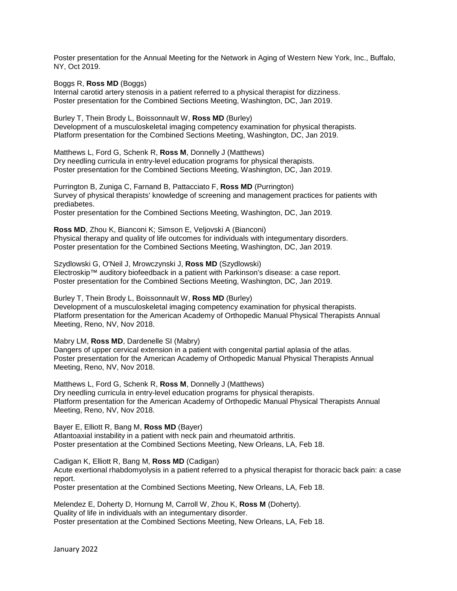Poster presentation for the Annual Meeting for the Network in Aging of Western New York, Inc., Buffalo, NY, Oct 2019.

#### Boggs R, **Ross MD** (Boggs)

Internal carotid artery stenosis in a patient referred to a physical therapist for dizziness. Poster presentation for the Combined Sections Meeting, Washington, DC, Jan 2019.

Burley T, Thein Brody L, Boissonnault W, **Ross MD** (Burley) Development of a musculoskeletal imaging competency examination for physical therapists. Platform presentation for the Combined Sections Meeting, Washington, DC, Jan 2019.

Matthews L, Ford G, Schenk R, **Ross M**, Donnelly J (Matthews) Dry needling curricula in entry-level education programs for physical therapists. Poster presentation for the Combined Sections Meeting, Washington, DC, Jan 2019.

Purrington B, Zuniga C, Farnand B, Pattacciato F, **Ross MD** (Purrington) Survey of physical therapists' knowledge of screening and management practices for patients with prediabetes.

Poster presentation for the Combined Sections Meeting, Washington, DC, Jan 2019.

**Ross MD**, Zhou K, Bianconi K; Simson E, Veljovski A (Bianconi) Physical therapy and quality of life outcomes for individuals with integumentary disorders. Poster presentation for the Combined Sections Meeting, Washington, DC, Jan 2019.

Szydlowski G, O'Neil J, Mrowczynski J, **Ross MD** (Szydlowski) Electroskip™ auditory biofeedback in a patient with Parkinson's disease: a case report. Poster presentation for the Combined Sections Meeting, Washington, DC, Jan 2019.

Burley T, Thein Brody L, Boissonnault W, **Ross MD** (Burley) Development of a musculoskeletal imaging competency examination for physical therapists. Platform presentation for the American Academy of Orthopedic Manual Physical Therapists Annual Meeting, Reno, NV, Nov 2018.

Mabry LM, **Ross MD**, Dardenelle SI (Mabry)

Dangers of upper cervical extension in a patient with congenital partial aplasia of the atlas. Poster presentation for the American Academy of Orthopedic Manual Physical Therapists Annual Meeting, Reno, NV, Nov 2018.

Matthews L, Ford G, Schenk R, **Ross M**, Donnelly J (Matthews) Dry needling curricula in entry-level education programs for physical therapists. Platform presentation for the American Academy of Orthopedic Manual Physical Therapists Annual Meeting, Reno, NV, Nov 2018.

Bayer E, Elliott R, Bang M, **Ross MD** (Bayer)

Atlantoaxial instability in a patient with neck pain and rheumatoid arthritis. Poster presentation at the Combined Sections Meeting, New Orleans, LA, Feb 18.

Cadigan K, Elliott R, Bang M, **Ross MD** (Cadigan)

Acute exertional rhabdomyolysis in a patient referred to a physical therapist for thoracic back pain: a case report.

Poster presentation at the Combined Sections Meeting, New Orleans, LA, Feb 18.

Melendez E, Doherty D, Hornung M, Carroll W, Zhou K, **Ross M** (Doherty). Quality of life in individuals with an integumentary disorder. Poster presentation at the Combined Sections Meeting, New Orleans, LA, Feb 18.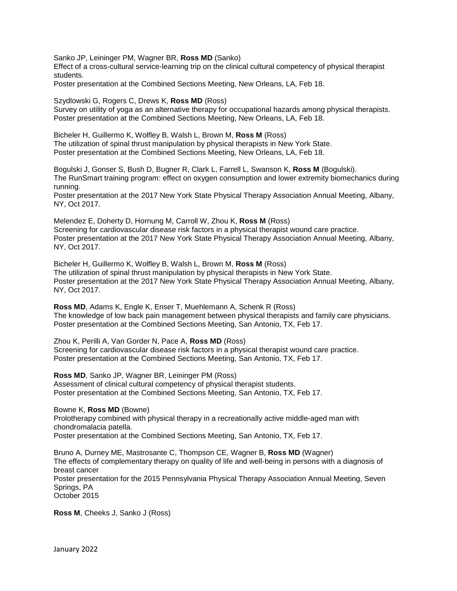Sanko JP, Leininger PM, Wagner BR, **Ross MD** (Sanko)

Effect of a cross-cultural service-learning trip on the clinical cultural competency of physical therapist students.

Poster presentation at the Combined Sections Meeting, New Orleans, LA, Feb 18.

Szydlowski G, Rogers C, Drews K, **Ross MD** (Ross)

Survey on utility of yoga as an alternative therapy for occupational hazards among physical therapists. Poster presentation at the Combined Sections Meeting, New Orleans, LA, Feb 18.

Bicheler H, Guillermo K, Wolfley B, Walsh L, Brown M, **Ross M** (Ross) The utilization of spinal thrust manipulation by physical therapists in New York State. Poster presentation at the Combined Sections Meeting, New Orleans, LA, Feb 18.

Bogulski J, Gonser S, Bush D, Bugner R, Clark L, Farrell L, Swanson K, **Ross M** (Bogulski). The RunSmart training program: effect on oxygen consumption and lower extremity biomechanics during running.

Poster presentation at the 2017 New York State Physical Therapy Association Annual Meeting, Albany, NY, Oct 2017.

Melendez E, Doherty D, Hornung M, Carroll W, Zhou K, **Ross M** (Ross) Screening for cardiovascular disease risk factors in a physical therapist wound care practice. Poster presentation at the 2017 New York State Physical Therapy Association Annual Meeting, Albany, NY, Oct 2017.

Bicheler H, Guillermo K, Wolfley B, Walsh L, Brown M, **Ross M** (Ross) The utilization of spinal thrust manipulation by physical therapists in New York State. Poster presentation at the 2017 New York State Physical Therapy Association Annual Meeting, Albany, NY, Oct 2017.

**Ross MD**, Adams K, Engle K, Enser T, Muehlemann A, Schenk R (Ross) The knowledge of low back pain management between physical therapists and family care physicians. Poster presentation at the Combined Sections Meeting, San Antonio, TX, Feb 17.

Zhou K, Perilli A, Van Gorder N, Pace A, **Ross MD** (Ross) Screening for cardiovascular disease risk factors in a physical therapist wound care practice. Poster presentation at the Combined Sections Meeting, San Antonio, TX, Feb 17.

**Ross MD**, Sanko JP, Wagner BR, Leininger PM (Ross) Assessment of clinical cultural competency of physical therapist students. Poster presentation at the Combined Sections Meeting, San Antonio, TX, Feb 17.

### Bowne K, **Ross MD** (Bowne)

Prolotherapy combined with physical therapy in a recreationally active middle-aged man with chondromalacia patella. Poster presentation at the Combined Sections Meeting, San Antonio, TX, Feb 17.

Bruno A, Durney ME, Mastrosante C, Thompson CE, Wagner B, **Ross MD** (Wagner) The effects of complementary therapy on quality of life and well-being in persons with a diagnosis of breast cancer Poster presentation for the 2015 Pennsylvania Physical Therapy Association Annual Meeting, Seven Springs, PA October 2015

**Ross M**, Cheeks J, Sanko J (Ross)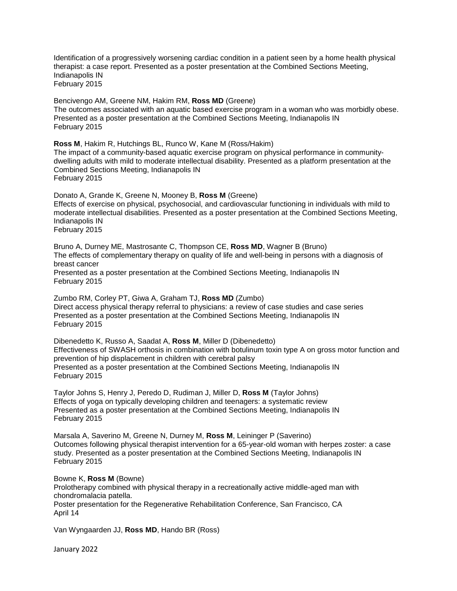Identification of a progressively worsening cardiac condition in a patient seen by a home health physical therapist: a case report. Presented as a poster presentation at the Combined Sections Meeting, Indianapolis IN February 2015

Bencivengo AM, Greene NM, Hakim RM, **Ross MD** (Greene) The outcomes associated with an aquatic based exercise program in a woman who was morbidly obese. Presented as a poster presentation at the Combined Sections Meeting, Indianapolis IN February 2015

**Ross M**, Hakim R, Hutchings BL, Runco W, Kane M (Ross/Hakim) The impact of a community-based aquatic exercise program on physical performance in communitydwelling adults with mild to moderate intellectual disability. Presented as a platform presentation at the Combined Sections Meeting, Indianapolis IN February 2015

Donato A, Grande K, Greene N, Mooney B, **Ross M** (Greene) Effects of exercise on physical, psychosocial, and cardiovascular functioning in individuals with mild to moderate intellectual disabilities. Presented as a poster presentation at the Combined Sections Meeting, Indianapolis IN February 2015

Bruno A, Durney ME, Mastrosante C, Thompson CE, **Ross MD**, Wagner B (Bruno) The effects of complementary therapy on quality of life and well-being in persons with a diagnosis of breast cancer Presented as a poster presentation at the Combined Sections Meeting, Indianapolis IN February 2015

Zumbo RM, Corley PT, Giwa A, Graham TJ, **Ross MD** (Zumbo) Direct access physical therapy referral to physicians: a review of case studies and case series Presented as a poster presentation at the Combined Sections Meeting, Indianapolis IN February 2015

Dibenedetto K, Russo A, Saadat A, **Ross M**, Miller D (Dibenedetto) Effectiveness of SWASH orthosis in combination with botulinum toxin type A on gross motor function and prevention of hip displacement in children with cerebral palsy Presented as a poster presentation at the Combined Sections Meeting, Indianapolis IN February 2015

Taylor Johns S, Henry J, Peredo D, Rudiman J, Miller D, **Ross M** (Taylor Johns) Effects of yoga on typically developing children and teenagers: a systematic review Presented as a poster presentation at the Combined Sections Meeting, Indianapolis IN February 2015

Marsala A, Saverino M, Greene N, Durney M, **Ross M**, Leininger P (Saverino) Outcomes following physical therapist intervention for a 65-year-old woman with herpes zoster: a case study. Presented as a poster presentation at the Combined Sections Meeting, Indianapolis IN February 2015

Bowne K, **Ross M** (Bowne) Prolotherapy combined with physical therapy in a recreationally active middle-aged man with chondromalacia patella. Poster presentation for the Regenerative Rehabilitation Conference, San Francisco, CA

April 14

Van Wyngaarden JJ, **Ross MD**, Hando BR (Ross)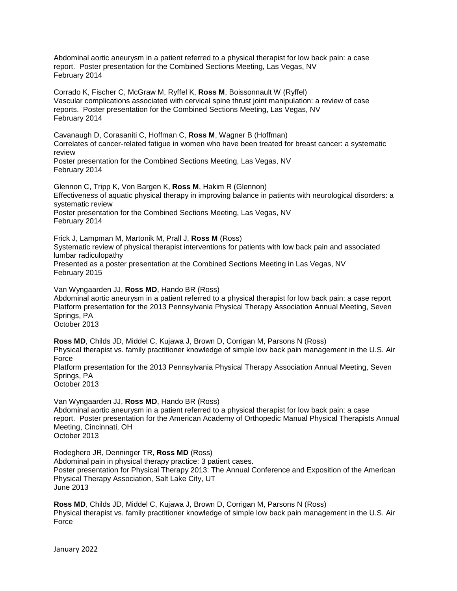Abdominal aortic aneurysm in a patient referred to a physical therapist for low back pain: a case report. Poster presentation for the Combined Sections Meeting, Las Vegas, NV February 2014

Corrado K, Fischer C, McGraw M, Ryffel K, **Ross M**, Boissonnault W (Ryffel) Vascular complications associated with cervical spine thrust joint manipulation: a review of case reports. Poster presentation for the Combined Sections Meeting, Las Vegas, NV February 2014

Cavanaugh D, Corasaniti C, Hoffman C, **Ross M**, Wagner B (Hoffman) Correlates of cancer-related fatigue in women who have been treated for breast cancer: a systematic review

Poster presentation for the Combined Sections Meeting, Las Vegas, NV February 2014

Glennon C, Tripp K, Von Bargen K, **Ross M**, Hakim R (Glennon) Effectiveness of aquatic physical therapy in improving balance in patients with neurological disorders: a systematic review Poster presentation for the Combined Sections Meeting, Las Vegas, NV February 2014

Frick J, Lampman M, Martonik M, Prall J, **Ross M** (Ross)

Systematic review of physical therapist interventions for patients with low back pain and associated lumbar radiculopathy

Presented as a poster presentation at the Combined Sections Meeting in Las Vegas, NV February 2015

Van Wyngaarden JJ, **Ross MD**, Hando BR (Ross)

Abdominal aortic aneurysm in a patient referred to a physical therapist for low back pain: a case report Platform presentation for the 2013 Pennsylvania Physical Therapy Association Annual Meeting, Seven Springs, PA

October 2013

**Ross MD**, Childs JD, Middel C, Kujawa J, Brown D, Corrigan M, Parsons N (Ross) Physical therapist vs. family practitioner knowledge of simple low back pain management in the U.S. Air Force Platform presentation for the 2013 Pennsylvania Physical Therapy Association Annual Meeting, Seven Springs, PA October 2013

Van Wyngaarden JJ, **Ross MD**, Hando BR (Ross) Abdominal aortic aneurysm in a patient referred to a physical therapist for low back pain: a case report. Poster presentation for the American Academy of Orthopedic Manual Physical Therapists Annual Meeting, Cincinnati, OH October 2013

Rodeghero JR, Denninger TR, **Ross MD** (Ross) Abdominal pain in physical therapy practice: 3 patient cases. Poster presentation for Physical Therapy 2013: The Annual Conference and Exposition of the American Physical Therapy Association, Salt Lake City, UT June 2013

**Ross MD**, Childs JD, Middel C, Kujawa J, Brown D, Corrigan M, Parsons N (Ross) Physical therapist vs. family practitioner knowledge of simple low back pain management in the U.S. Air Force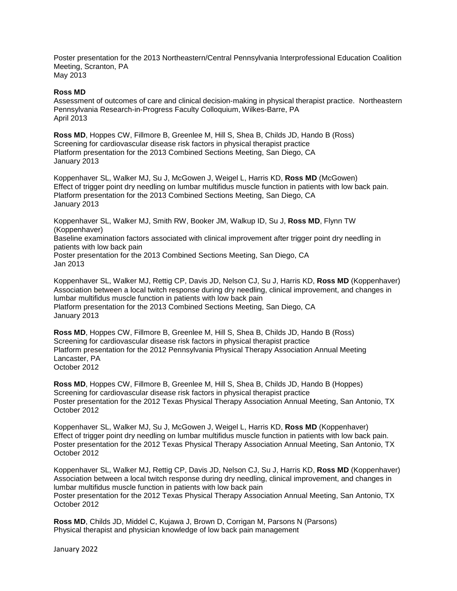Poster presentation for the 2013 Northeastern/Central Pennsylvania Interprofessional Education Coalition Meeting, Scranton, PA May 2013

#### **Ross MD**

Assessment of outcomes of care and clinical decision-making in physical therapist practice. Northeastern Pennsylvania Research-in-Progress Faculty Colloquium, Wilkes-Barre, PA April 2013

**Ross MD**, Hoppes CW, Fillmore B, Greenlee M, Hill S, Shea B, Childs JD, Hando B (Ross) Screening for cardiovascular disease risk factors in physical therapist practice Platform presentation for the 2013 Combined Sections Meeting, San Diego, CA January 2013

Koppenhaver SL, Walker MJ, Su J, McGowen J, Weigel L, Harris KD, **Ross MD** (McGowen) Effect of trigger point dry needling on lumbar multifidus muscle function in patients with low back pain. Platform presentation for the 2013 Combined Sections Meeting, San Diego, CA January 2013

Koppenhaver SL, Walker MJ, Smith RW, Booker JM, Walkup ID, Su J, **Ross MD**, Flynn TW (Koppenhaver)

Baseline examination factors associated with clinical improvement after trigger point dry needling in patients with low back pain

Poster presentation for the 2013 Combined Sections Meeting, San Diego, CA Jan 2013

Koppenhaver SL, Walker MJ, Rettig CP, Davis JD, Nelson CJ, Su J, Harris KD, **Ross MD** (Koppenhaver) Association between a local twitch response during dry needling, clinical improvement, and changes in lumbar multifidus muscle function in patients with low back pain Platform presentation for the 2013 Combined Sections Meeting, San Diego, CA January 2013

**Ross MD**, Hoppes CW, Fillmore B, Greenlee M, Hill S, Shea B, Childs JD, Hando B (Ross) Screening for cardiovascular disease risk factors in physical therapist practice Platform presentation for the 2012 Pennsylvania Physical Therapy Association Annual Meeting Lancaster, PA October 2012

**Ross MD**, Hoppes CW, Fillmore B, Greenlee M, Hill S, Shea B, Childs JD, Hando B (Hoppes) Screening for cardiovascular disease risk factors in physical therapist practice Poster presentation for the 2012 Texas Physical Therapy Association Annual Meeting, San Antonio, TX October 2012

Koppenhaver SL, Walker MJ, Su J, McGowen J, Weigel L, Harris KD, **Ross MD** (Koppenhaver) Effect of trigger point dry needling on lumbar multifidus muscle function in patients with low back pain. Poster presentation for the 2012 Texas Physical Therapy Association Annual Meeting, San Antonio, TX October 2012

Koppenhaver SL, Walker MJ, Rettig CP, Davis JD, Nelson CJ, Su J, Harris KD, **Ross MD** (Koppenhaver) Association between a local twitch response during dry needling, clinical improvement, and changes in lumbar multifidus muscle function in patients with low back pain Poster presentation for the 2012 Texas Physical Therapy Association Annual Meeting, San Antonio, TX October 2012

**Ross MD**, Childs JD, Middel C, Kujawa J, Brown D, Corrigan M, Parsons N (Parsons) Physical therapist and physician knowledge of low back pain management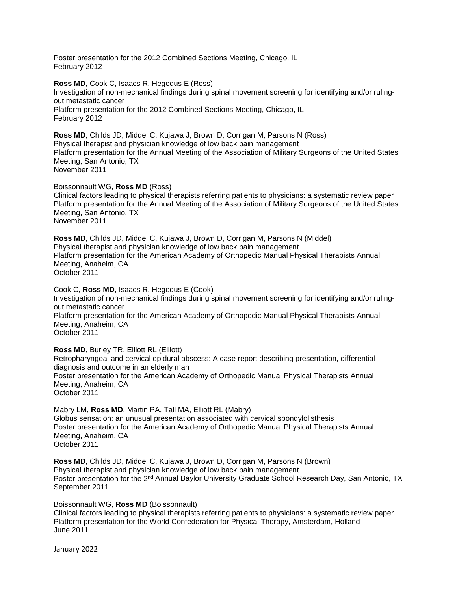Poster presentation for the 2012 Combined Sections Meeting, Chicago, IL February 2012

**Ross MD**, Cook C, Isaacs R, Hegedus E (Ross) Investigation of non-mechanical findings during spinal movement screening for identifying and/or rulingout metastatic cancer Platform presentation for the 2012 Combined Sections Meeting, Chicago, IL February 2012

**Ross MD**, Childs JD, Middel C, Kujawa J, Brown D, Corrigan M, Parsons N (Ross) Physical therapist and physician knowledge of low back pain management Platform presentation for the Annual Meeting of the Association of Military Surgeons of the United States Meeting, San Antonio, TX November 2011

Boissonnault WG, **Ross MD** (Ross)

Clinical factors leading to physical therapists referring patients to physicians: a systematic review paper Platform presentation for the Annual Meeting of the Association of Military Surgeons of the United States Meeting, San Antonio, TX November 2011

**Ross MD**, Childs JD, Middel C, Kujawa J, Brown D, Corrigan M, Parsons N (Middel) Physical therapist and physician knowledge of low back pain management Platform presentation for the American Academy of Orthopedic Manual Physical Therapists Annual Meeting, Anaheim, CA October 2011

Cook C, **Ross MD**, Isaacs R, Hegedus E (Cook)

Investigation of non-mechanical findings during spinal movement screening for identifying and/or rulingout metastatic cancer Platform presentation for the American Academy of Orthopedic Manual Physical Therapists Annual Meeting, Anaheim, CA October 2011

### **Ross MD**, Burley TR, Elliott RL (Elliott)

Retropharyngeal and cervical epidural abscess: A case report describing presentation, differential diagnosis and outcome in an elderly man Poster presentation for the American Academy of Orthopedic Manual Physical Therapists Annual Meeting, Anaheim, CA October 2011

Mabry LM, **Ross MD**, Martin PA, Tall MA, Elliott RL (Mabry) Globus sensation: an unusual presentation associated with cervical spondylolisthesis Poster presentation for the American Academy of Orthopedic Manual Physical Therapists Annual Meeting, Anaheim, CA October 2011

**Ross MD**, Childs JD, Middel C, Kujawa J, Brown D, Corrigan M, Parsons N (Brown) Physical therapist and physician knowledge of low back pain management Poster presentation for the 2<sup>nd</sup> Annual Baylor University Graduate School Research Day, San Antonio, TX September 2011

Boissonnault WG, **Ross MD** (Boissonnault)

Clinical factors leading to physical therapists referring patients to physicians: a systematic review paper. Platform presentation for the World Confederation for Physical Therapy, Amsterdam, Holland June 2011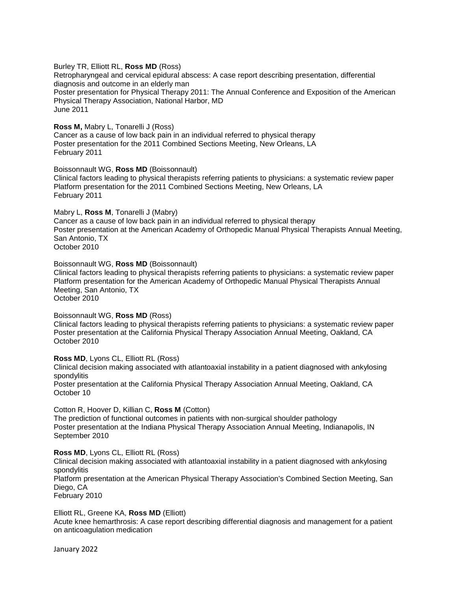### Burley TR, Elliott RL, **Ross MD** (Ross)

Retropharyngeal and cervical epidural abscess: A case report describing presentation, differential diagnosis and outcome in an elderly man Poster presentation for Physical Therapy 2011: The Annual Conference and Exposition of the American Physical Therapy Association, National Harbor, MD June 2011

### **Ross M,** Mabry L, Tonarelli J (Ross)

Cancer as a cause of low back pain in an individual referred to physical therapy Poster presentation for the 2011 Combined Sections Meeting, New Orleans, LA February 2011

### Boissonnault WG, **Ross MD** (Boissonnault)

Clinical factors leading to physical therapists referring patients to physicians: a systematic review paper Platform presentation for the 2011 Combined Sections Meeting, New Orleans, LA February 2011

### Mabry L, **Ross M**, Tonarelli J (Mabry)

Cancer as a cause of low back pain in an individual referred to physical therapy Poster presentation at the American Academy of Orthopedic Manual Physical Therapists Annual Meeting, San Antonio, TX October 2010

## Boissonnault WG, **Ross MD** (Boissonnault)

Clinical factors leading to physical therapists referring patients to physicians: a systematic review paper Platform presentation for the American Academy of Orthopedic Manual Physical Therapists Annual Meeting, San Antonio, TX

October 2010

## Boissonnault WG, **Ross MD** (Ross)

Clinical factors leading to physical therapists referring patients to physicians: a systematic review paper Poster presentation at the California Physical Therapy Association Annual Meeting, Oakland, CA October 2010

### **Ross MD**, Lyons CL, Elliott RL (Ross)

Clinical decision making associated with atlantoaxial instability in a patient diagnosed with ankylosing spondylitis

Poster presentation at the California Physical Therapy Association Annual Meeting, Oakland, CA October 10

## Cotton R, Hoover D, Killian C, **Ross M** (Cotton)

The prediction of functional outcomes in patients with non-surgical shoulder pathology Poster presentation at the Indiana Physical Therapy Association Annual Meeting, Indianapolis, IN September 2010

### **Ross MD**, Lyons CL, Elliott RL (Ross)

Clinical decision making associated with atlantoaxial instability in a patient diagnosed with ankylosing spondylitis

Platform presentation at the American Physical Therapy Association's Combined Section Meeting, San Diego, CA

February 2010

### Elliott RL, Greene KA, **Ross MD** (Elliott)

Acute knee hemarthrosis: A case report describing differential diagnosis and management for a patient on anticoagulation medication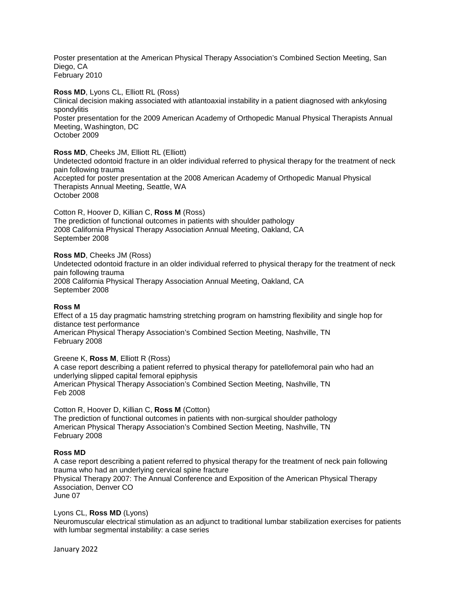Poster presentation at the American Physical Therapy Association's Combined Section Meeting, San Diego, CA February 2010

### **Ross MD**, Lyons CL, Elliott RL (Ross)

Clinical decision making associated with atlantoaxial instability in a patient diagnosed with ankylosing spondylitis Poster presentation for the 2009 American Academy of Orthopedic Manual Physical Therapists Annual Meeting, Washington, DC

October 2009

### **Ross MD**, Cheeks JM, Elliott RL (Elliott)

Undetected odontoid fracture in an older individual referred to physical therapy for the treatment of neck pain following trauma Accepted for poster presentation at the 2008 American Academy of Orthopedic Manual Physical Therapists Annual Meeting, Seattle, WA October 2008

Cotton R, Hoover D, Killian C, **Ross M** (Ross) The prediction of functional outcomes in patients with shoulder pathology 2008 California Physical Therapy Association Annual Meeting, Oakland, CA September 2008

### **Ross MD**, Cheeks JM (Ross)

Undetected odontoid fracture in an older individual referred to physical therapy for the treatment of neck pain following trauma 2008 California Physical Therapy Association Annual Meeting, Oakland, CA September 2008

### **Ross M**

Effect of a 15 day pragmatic hamstring stretching program on hamstring flexibility and single hop for distance test performance American Physical Therapy Association's Combined Section Meeting, Nashville, TN February 2008

### Greene K, **Ross M**, Elliott R (Ross)

A case report describing a patient referred to physical therapy for patellofemoral pain who had an underlying slipped capital femoral epiphysis American Physical Therapy Association's Combined Section Meeting, Nashville, TN Feb 2008

## Cotton R, Hoover D, Killian C, **Ross M** (Cotton)

The prediction of functional outcomes in patients with non-surgical shoulder pathology American Physical Therapy Association's Combined Section Meeting, Nashville, TN February 2008

### **Ross MD**

A case report describing a patient referred to physical therapy for the treatment of neck pain following trauma who had an underlying cervical spine fracture Physical Therapy 2007: The Annual Conference and Exposition of the American Physical Therapy Association, Denver CO June 07

### Lyons CL, **Ross MD** (Lyons)

Neuromuscular electrical stimulation as an adjunct to traditional lumbar stabilization exercises for patients with lumbar segmental instability: a case series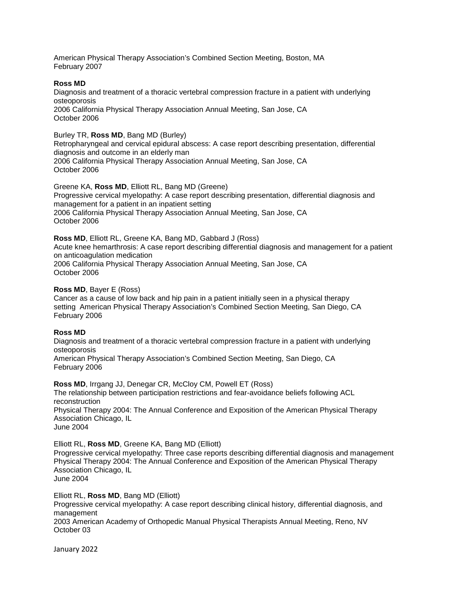American Physical Therapy Association's Combined Section Meeting, Boston, MA February 2007

## **Ross MD**

Diagnosis and treatment of a thoracic vertebral compression fracture in a patient with underlying osteoporosis 2006 California Physical Therapy Association Annual Meeting, San Jose, CA October 2006

## Burley TR, **Ross MD**, Bang MD (Burley)

Retropharyngeal and cervical epidural abscess: A case report describing presentation, differential diagnosis and outcome in an elderly man 2006 California Physical Therapy Association Annual Meeting, San Jose, CA October 2006

Greene KA, **Ross MD**, Elliott RL, Bang MD (Greene) Progressive cervical myelopathy: A case report describing presentation, differential diagnosis and management for a patient in an inpatient setting 2006 California Physical Therapy Association Annual Meeting, San Jose, CA October 2006

**Ross MD**, Elliott RL, Greene KA, Bang MD, Gabbard J (Ross)

Acute knee hemarthrosis: A case report describing differential diagnosis and management for a patient on anticoagulation medication 2006 California Physical Therapy Association Annual Meeting, San Jose, CA October 2006

## **Ross MD**, Bayer E (Ross)

Cancer as a cause of low back and hip pain in a patient initially seen in a physical therapy setting American Physical Therapy Association's Combined Section Meeting, San Diego, CA February 2006

# **Ross MD**

Diagnosis and treatment of a thoracic vertebral compression fracture in a patient with underlying osteoporosis

American Physical Therapy Association's Combined Section Meeting, San Diego, CA February 2006

**Ross MD.** Irrgang JJ, Denegar CR, McCloy CM, Powell ET (Ross) The relationship between participation restrictions and fear-avoidance beliefs following ACL reconstruction Physical Therapy 2004: The Annual Conference and Exposition of the American Physical Therapy Association Chicago, IL June 2004

Elliott RL, **Ross MD**, Greene KA, Bang MD (Elliott)

Progressive cervical myelopathy: Three case reports describing differential diagnosis and management Physical Therapy 2004: The Annual Conference and Exposition of the American Physical Therapy Association Chicago, IL

June 2004

### Elliott RL, **Ross MD**, Bang MD (Elliott)

Progressive cervical myelopathy: A case report describing clinical history, differential diagnosis, and management

2003 American Academy of Orthopedic Manual Physical Therapists Annual Meeting, Reno, NV October 03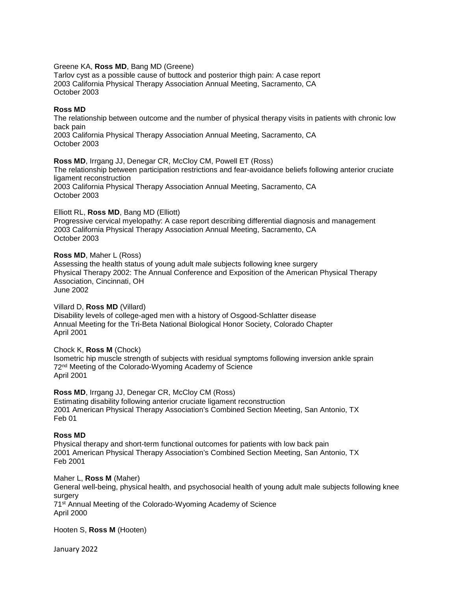#### Greene KA, **Ross MD**, Bang MD (Greene)

Tarlov cyst as a possible cause of buttock and posterior thigh pain: A case report 2003 California Physical Therapy Association Annual Meeting, Sacramento, CA October 2003

### **Ross MD**

The relationship between outcome and the number of physical therapy visits in patients with chronic low back pain 2003 California Physical Therapy Association Annual Meeting, Sacramento, CA

October 2003

**Ross MD**, Irrgang JJ, Denegar CR, McCloy CM, Powell ET (Ross) The relationship between participation restrictions and fear-avoidance beliefs following anterior cruciate ligament reconstruction 2003 California Physical Therapy Association Annual Meeting, Sacramento, CA October 2003

### Elliott RL, **Ross MD**, Bang MD (Elliott)

Progressive cervical myelopathy: A case report describing differential diagnosis and management 2003 California Physical Therapy Association Annual Meeting, Sacramento, CA October 2003

### **Ross MD**, Maher L (Ross)

Assessing the health status of young adult male subjects following knee surgery Physical Therapy 2002: The Annual Conference and Exposition of the American Physical Therapy Association, Cincinnati, OH June 2002

# Villard D, **Ross MD** (Villard)

Disability levels of college-aged men with a history of Osgood-Schlatter disease Annual Meeting for the Tri-Beta National Biological Honor Society, Colorado Chapter April 2001

### Chock K, **Ross M** (Chock)

Isometric hip muscle strength of subjects with residual symptoms following inversion ankle sprain 72nd Meeting of the Colorado-Wyoming Academy of Science April 2001

Ross MD, Irrgang JJ, Denegar CR, McCloy CM (Ross) Estimating disability following anterior cruciate ligament reconstruction 2001 American Physical Therapy Association's Combined Section Meeting, San Antonio, TX Feb 01

### **Ross MD**

Physical therapy and short-term functional outcomes for patients with low back pain 2001 American Physical Therapy Association's Combined Section Meeting, San Antonio, TX Feb 2001

Maher L, **Ross M** (Maher) General well-being, physical health, and psychosocial health of young adult male subjects following knee surgery 71st Annual Meeting of the Colorado-Wyoming Academy of Science April 2000

Hooten S, **Ross M** (Hooten)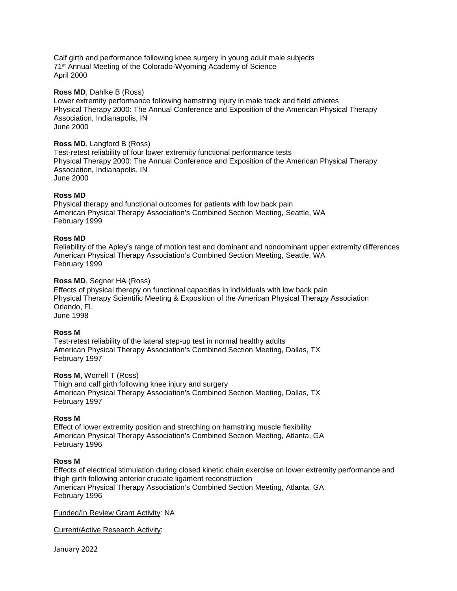Calf girth and performance following knee surgery in young adult male subjects 71st Annual Meeting of the Colorado-Wyoming Academy of Science April 2000

### **Ross MD**, Dahlke B (Ross)

Lower extremity performance following hamstring injury in male track and field athletes Physical Therapy 2000: The Annual Conference and Exposition of the American Physical Therapy Association, Indianapolis, IN June 2000

## **Ross MD**, Langford B (Ross)

Test-retest reliability of four lower extremity functional performance tests Physical Therapy 2000: The Annual Conference and Exposition of the American Physical Therapy Association, Indianapolis, IN June 2000

## **Ross MD**

Physical therapy and functional outcomes for patients with low back pain American Physical Therapy Association's Combined Section Meeting, Seattle, WA February 1999

### **Ross MD**

Reliability of the Apley's range of motion test and dominant and nondominant upper extremity differences American Physical Therapy Association's Combined Section Meeting, Seattle, WA February 1999

### **Ross MD**, Segner HA (Ross)

Effects of physical therapy on functional capacities in individuals with low back pain Physical Therapy Scientific Meeting & Exposition of the American Physical Therapy Association Orlando, FL June 1998

### **Ross M**

Test-retest reliability of the lateral step-up test in normal healthy adults American Physical Therapy Association's Combined Section Meeting, Dallas, TX February 1997

### **Ross M**, Worrell T (Ross)

Thigh and calf girth following knee injury and surgery American Physical Therapy Association's Combined Section Meeting, Dallas, TX February 1997

### **Ross M**

Effect of lower extremity position and stretching on hamstring muscle flexibility American Physical Therapy Association's Combined Section Meeting, Atlanta, GA February 1996

### **Ross M**

Effects of electrical stimulation during closed kinetic chain exercise on lower extremity performance and thigh girth following anterior cruciate ligament reconstruction American Physical Therapy Association's Combined Section Meeting, Atlanta, GA February 1996

Funded/In Review Grant Activity: NA

Current/Active Research Activity: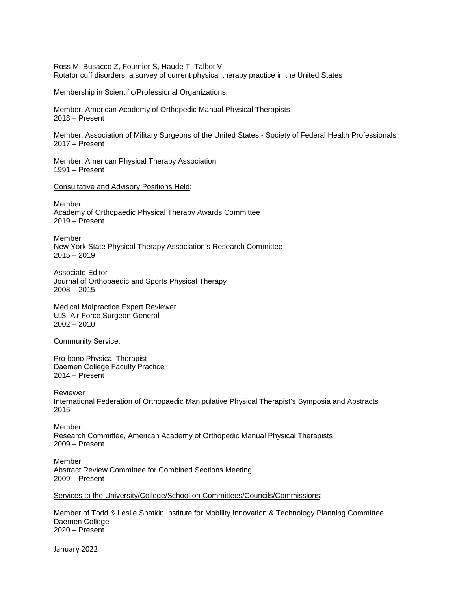Ross M, Busacco Z, Fournier S, Haude T, Talbot V Rotator cuff disorders: a survey of current physical therapy practice in the United States

Membership in Scientific/Professional Organizations:

Member, American Academy of Orthopedic Manual Physical Therapists 2018 – Present

Member, Association of Military Surgeons of the United States - Society of Federal Health Professionals 2017 – Present

Member, American Physical Therapy Association 1991 – Present

Consultative and Advisory Positions Held:

Member Academy of Orthopaedic Physical Therapy Awards Committee 2019 – Present

Member New York State Physical Therapy Association's Research Committee 2015 – 2019

Associate Editor Journal of Orthopaedic and Sports Physical Therapy  $2008 - 2015$ 

Medical Malpractice Expert Reviewer U.S. Air Force Surgeon General 2002 – 2010

**Community Service:** 

Pro bono Physical Therapist Daemen College Faculty Practice 2014 – Present

Reviewer International Federation of Orthopaedic Manipulative Physical Therapist's Symposia and Abstracts 2015

Member Research Committee, American Academy of Orthopedic Manual Physical Therapists 2009 – Present

Member Abstract Review Committee for Combined Sections Meeting 2009 – Present

Services to the University/College/School on Committees/Councils/Commissions:

Member of Todd & Leslie Shatkin Institute for Mobility Innovation & Technology Planning Committee, Daemen College 2020 – Present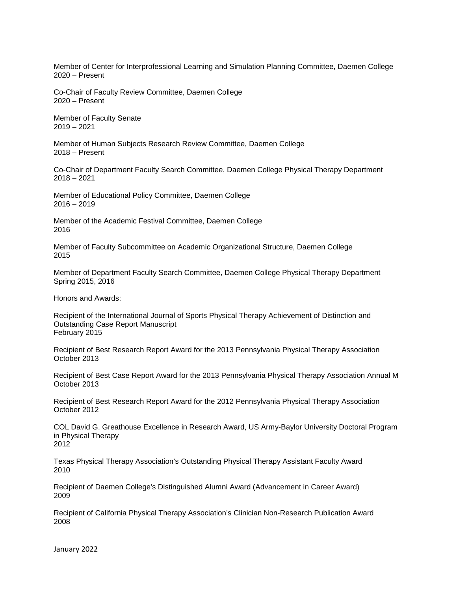Member of Center for Interprofessional Learning and Simulation Planning Committee, Daemen College 2020 – Present

Co-Chair of Faculty Review Committee, Daemen College 2020 – Present

Member of Faculty Senate 2019 – 2021

Member of Human Subjects Research Review Committee, Daemen College 2018 – Present

Co-Chair of Department Faculty Search Committee, Daemen College Physical Therapy Department 2018 – 2021

Member of [Educational Policy Committee,](https://groups.google.com/a/daemen.edu/d/forum/epc-l) Daemen College  $2016 - 2019$ 

Member of the Academic Festival Committee, Daemen College 2016

Member of Faculty Subcommittee on Academic Organizational Structure, Daemen College 2015

Member of Department Faculty Search Committee, Daemen College Physical Therapy Department Spring 2015, 2016

Honors and Awards:

Recipient of the International Journal of Sports Physical Therapy Achievement of Distinction and Outstanding Case Report Manuscript February 2015

Recipient of Best Research Report Award for the 2013 Pennsylvania Physical Therapy Association October 2013

Recipient of Best Case Report Award for the 2013 Pennsylvania Physical Therapy Association Annual M October 2013

Recipient of Best Research Report Award for the 2012 Pennsylvania Physical Therapy Association October 2012

COL David G. Greathouse Excellence in Research Award, US Army-Baylor University Doctoral Program in Physical Therapy 2012

Texas Physical Therapy Association's Outstanding Physical Therapy Assistant Faculty Award 2010

Recipient of Daemen College's Distinguished Alumni Award (Advancement in Career Award) 2009

Recipient of California Physical Therapy Association's Clinician Non-Research Publication Award 2008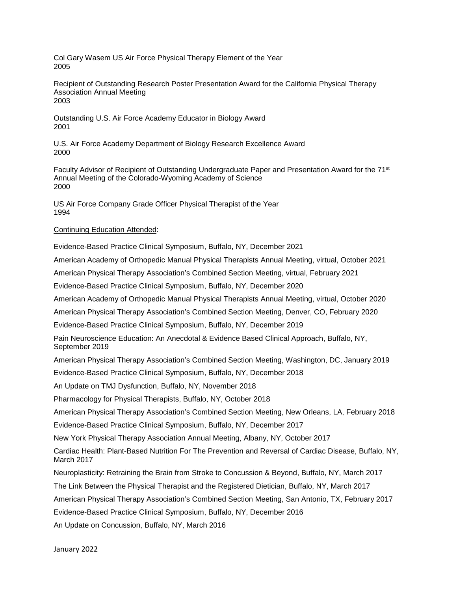Col Gary Wasem US Air Force Physical Therapy Element of the Year 2005

Recipient of Outstanding Research Poster Presentation Award for the California Physical Therapy Association Annual Meeting 2003

Outstanding U.S. Air Force Academy Educator in Biology Award 2001

U.S. Air Force Academy Department of Biology Research Excellence Award 2000

Faculty Advisor of Recipient of Outstanding Undergraduate Paper and Presentation Award for the 71<sup>st</sup> Annual Meeting of the Colorado-Wyoming Academy of Science 2000

US Air Force Company Grade Officer Physical Therapist of the Year 1994

## Continuing Education Attended:

Evidence-Based Practice Clinical Symposium, Buffalo, NY, December 2021

American Academy of Orthopedic Manual Physical Therapists Annual Meeting, virtual, October 2021

American Physical Therapy Association's Combined Section Meeting, virtual, February 2021

Evidence-Based Practice Clinical Symposium, Buffalo, NY, December 2020

American Academy of Orthopedic Manual Physical Therapists Annual Meeting, virtual, October 2020

American Physical Therapy Association's Combined Section Meeting, Denver, CO, February 2020

Evidence-Based Practice Clinical Symposium, Buffalo, NY, December 2019

Pain Neuroscience Education: An Anecdotal & Evidence Based Clinical Approach, Buffalo, NY, September 2019

American Physical Therapy Association's Combined Section Meeting, Washington, DC, January 2019

Evidence-Based Practice Clinical Symposium, Buffalo, NY, December 2018

An Update on TMJ Dysfunction, Buffalo, NY, November 2018

Pharmacology for Physical Therapists, Buffalo, NY, October 2018

American Physical Therapy Association's Combined Section Meeting, New Orleans, LA, February 2018

Evidence-Based Practice Clinical Symposium, Buffalo, NY, December 2017

New York Physical Therapy Association Annual Meeting, Albany, NY, October 2017

Cardiac Health: Plant-Based Nutrition For The Prevention and Reversal of Cardiac Disease, Buffalo, NY, March 2017

Neuroplasticity: Retraining the Brain from Stroke to Concussion & Beyond, Buffalo, NY, March 2017

The Link Between the Physical Therapist and the Registered Dietician, Buffalo, NY, March 2017

American Physical Therapy Association's Combined Section Meeting, San Antonio, TX, February 2017

Evidence-Based Practice Clinical Symposium, Buffalo, NY, December 2016

An Update on Concussion, Buffalo, NY, March 2016